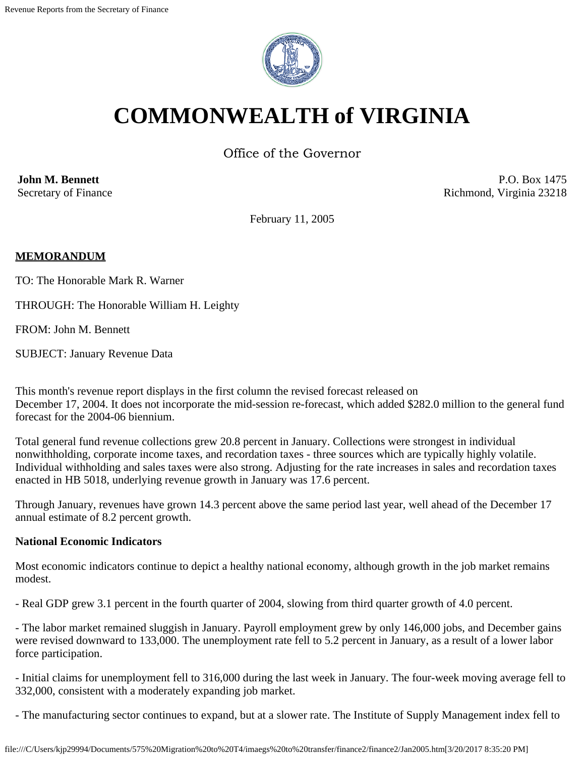

# **COMMONWEALTH of VIRGINIA**

Office of the Governor

**John M. Bennett** Secretary of Finance

P.O. Box 1475 Richmond, Virginia 23218

February 11, 2005

## **MEMORANDUM**

TO: The Honorable Mark R. Warner

THROUGH: The Honorable William H. Leighty

FROM: John M. Bennett

SUBJECT: January Revenue Data

This month's revenue report displays in the first column the revised forecast released on December 17, 2004. It does not incorporate the mid-session re-forecast, which added \$282.0 million to the general fund forecast for the 2004-06 biennium.

Total general fund revenue collections grew 20.8 percent in January. Collections were strongest in individual nonwithholding, corporate income taxes, and recordation taxes - three sources which are typically highly volatile. Individual withholding and sales taxes were also strong. Adjusting for the rate increases in sales and recordation taxes enacted in HB 5018, underlying revenue growth in January was 17.6 percent.

Through January, revenues have grown 14.3 percent above the same period last year, well ahead of the December 17 annual estimate of 8.2 percent growth.

## **National Economic Indicators**

Most economic indicators continue to depict a healthy national economy, although growth in the job market remains modest.

- Real GDP grew 3.1 percent in the fourth quarter of 2004, slowing from third quarter growth of 4.0 percent.

- The labor market remained sluggish in January. Payroll employment grew by only 146,000 jobs, and December gains were revised downward to 133,000. The unemployment rate fell to 5.2 percent in January, as a result of a lower labor force participation.

- Initial claims for unemployment fell to 316,000 during the last week in January. The four-week moving average fell to 332,000, consistent with a moderately expanding job market.

- The manufacturing sector continues to expand, but at a slower rate. The Institute of Supply Management index fell to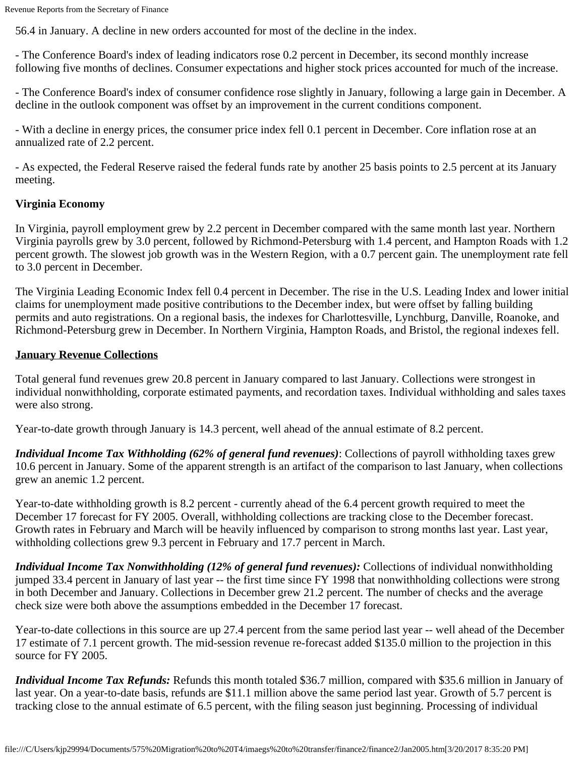56.4 in January. A decline in new orders accounted for most of the decline in the index.

- The Conference Board's index of leading indicators rose 0.2 percent in December, its second monthly increase following five months of declines. Consumer expectations and higher stock prices accounted for much of the increase.

- The Conference Board's index of consumer confidence rose slightly in January, following a large gain in December. A decline in the outlook component was offset by an improvement in the current conditions component.

- With a decline in energy prices, the consumer price index fell 0.1 percent in December. Core inflation rose at an annualized rate of 2.2 percent.

- As expected, the Federal Reserve raised the federal funds rate by another 25 basis points to 2.5 percent at its January meeting.

## **Virginia Economy**

In Virginia, payroll employment grew by 2.2 percent in December compared with the same month last year. Northern Virginia payrolls grew by 3.0 percent, followed by Richmond-Petersburg with 1.4 percent, and Hampton Roads with 1.2 percent growth. The slowest job growth was in the Western Region, with a 0.7 percent gain. The unemployment rate fell to 3.0 percent in December.

The Virginia Leading Economic Index fell 0.4 percent in December. The rise in the U.S. Leading Index and lower initial claims for unemployment made positive contributions to the December index, but were offset by falling building permits and auto registrations. On a regional basis, the indexes for Charlottesville, Lynchburg, Danville, Roanoke, and Richmond-Petersburg grew in December. In Northern Virginia, Hampton Roads, and Bristol, the regional indexes fell.

## **January Revenue Collections**

Total general fund revenues grew 20.8 percent in January compared to last January. Collections were strongest in individual nonwithholding, corporate estimated payments, and recordation taxes. Individual withholding and sales taxes were also strong.

Year-to-date growth through January is 14.3 percent, well ahead of the annual estimate of 8.2 percent.

*Individual Income Tax Withholding (62% of general fund revenues)*: Collections of payroll withholding taxes grew 10.6 percent in January. Some of the apparent strength is an artifact of the comparison to last January, when collections grew an anemic 1.2 percent.

Year-to-date withholding growth is 8.2 percent - currently ahead of the 6.4 percent growth required to meet the December 17 forecast for FY 2005. Overall, withholding collections are tracking close to the December forecast. Growth rates in February and March will be heavily influenced by comparison to strong months last year. Last year, withholding collections grew 9.3 percent in February and 17.7 percent in March.

*Individual Income Tax Nonwithholding (12% of general fund revenues):* Collections of individual nonwithholding jumped 33.4 percent in January of last year -- the first time since FY 1998 that nonwithholding collections were strong in both December and January. Collections in December grew 21.2 percent. The number of checks and the average check size were both above the assumptions embedded in the December 17 forecast.

Year-to-date collections in this source are up 27.4 percent from the same period last year -- well ahead of the December 17 estimate of 7.1 percent growth. The mid-session revenue re-forecast added \$135.0 million to the projection in this source for FY 2005.

*Individual Income Tax Refunds:* Refunds this month totaled \$36.7 million, compared with \$35.6 million in January of last year. On a year-to-date basis, refunds are \$11.1 million above the same period last year. Growth of 5.7 percent is tracking close to the annual estimate of 6.5 percent, with the filing season just beginning. Processing of individual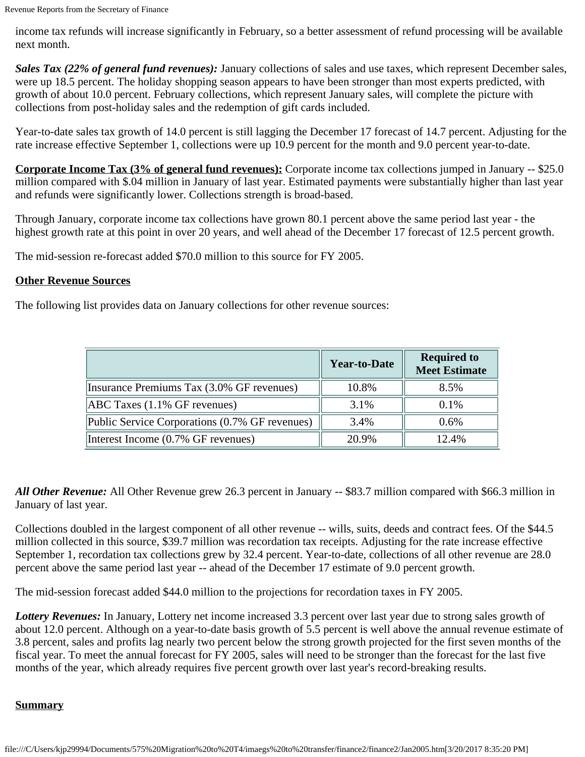income tax refunds will increase significantly in February, so a better assessment of refund processing will be available next month.

*Sales Tax (22% of general fund revenues):* January collections of sales and use taxes, which represent December sales, were up 18.5 percent. The holiday shopping season appears to have been stronger than most experts predicted, with growth of about 10.0 percent. February collections, which represent January sales, will complete the picture with collections from post-holiday sales and the redemption of gift cards included.

Year-to-date sales tax growth of 14.0 percent is still lagging the December 17 forecast of 14.7 percent. Adjusting for the rate increase effective September 1, collections were up 10.9 percent for the month and 9.0 percent year-to-date.

**Corporate Income Tax (3% of general fund revenues):** Corporate income tax collections jumped in January -- \$25.0 million compared with \$.04 million in January of last year. Estimated payments were substantially higher than last year and refunds were significantly lower. Collections strength is broad-based.

Through January, corporate income tax collections have grown 80.1 percent above the same period last year - the highest growth rate at this point in over 20 years, and well ahead of the December 17 forecast of 12.5 percent growth.

The mid-session re-forecast added \$70.0 million to this source for FY 2005.

### **Other Revenue Sources**

The following list provides data on January collections for other revenue sources:

|                                                | Year-to-Date | <b>Required to</b><br><b>Meet Estimate</b> |
|------------------------------------------------|--------------|--------------------------------------------|
| Insurance Premiums Tax (3.0% GF revenues)      | 10.8%        | 8.5%                                       |
| $ABC$ Taxes $(1.1\%$ GF revenues)              | 3.1%         | 0.1%                                       |
| Public Service Corporations (0.7% GF revenues) | 3.4%         | 0.6%                                       |
| Interest Income (0.7% GF revenues)             | 20.9%        | 12.4%                                      |

*All Other Revenue:* All Other Revenue grew 26.3 percent in January -- \$83.7 million compared with \$66.3 million in January of last year.

Collections doubled in the largest component of all other revenue -- wills, suits, deeds and contract fees. Of the \$44.5 million collected in this source, \$39.7 million was recordation tax receipts. Adjusting for the rate increase effective September 1, recordation tax collections grew by 32.4 percent. Year-to-date, collections of all other revenue are 28.0 percent above the same period last year -- ahead of the December 17 estimate of 9.0 percent growth.

The mid-session forecast added \$44.0 million to the projections for recordation taxes in FY 2005.

*Lottery Revenues:* In January, Lottery net income increased 3.3 percent over last year due to strong sales growth of about 12.0 percent. Although on a year-to-date basis growth of 5.5 percent is well above the annual revenue estimate of 3.8 percent, sales and profits lag nearly two percent below the strong growth projected for the first seven months of the fiscal year. To meet the annual forecast for FY 2005, sales will need to be stronger than the forecast for the last five months of the year, which already requires five percent growth over last year's record-breaking results.

## **Summary**